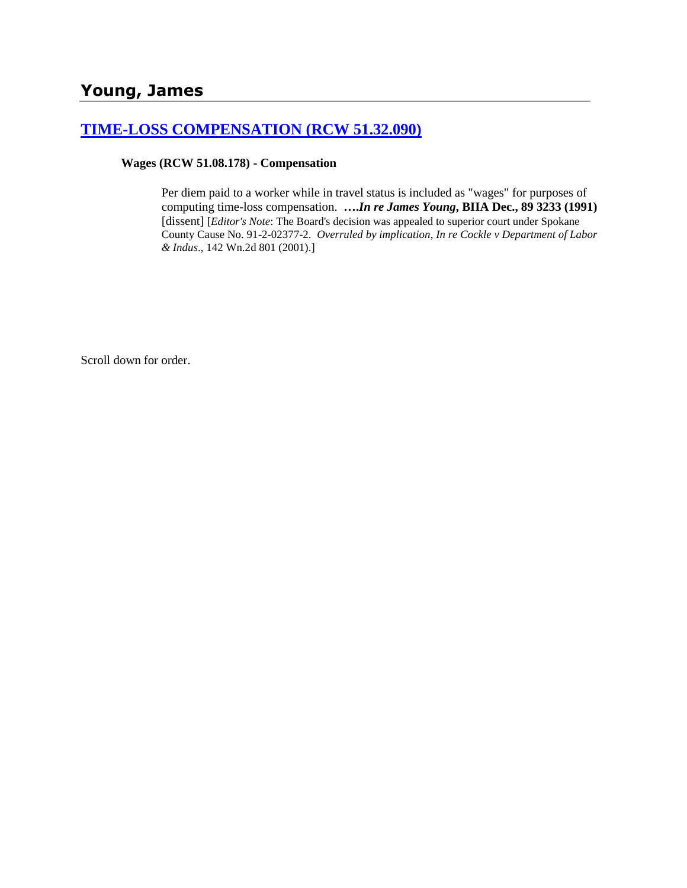## **[TIME-LOSS COMPENSATION \(RCW 51.32.090\)](http://www.biia.wa.gov/SDSubjectIndex.html#TIME_LOSS_COMPENSATION)**

**Wages (RCW 51.08.178) - Compensation**

Per diem paid to a worker while in travel status is included as "wages" for purposes of computing time-loss compensation. **….***In re James Young***, BIIA Dec., 89 3233 (1991)** [dissent] [*Editor's Note*: The Board's decision was appealed to superior court under Spokane County Cause No. 91-2-02377-2. *Overruled by implication*, *In re Cockle v Department of Labor & Indus*., 142 Wn.2d 801 (2001).]

Scroll down for order.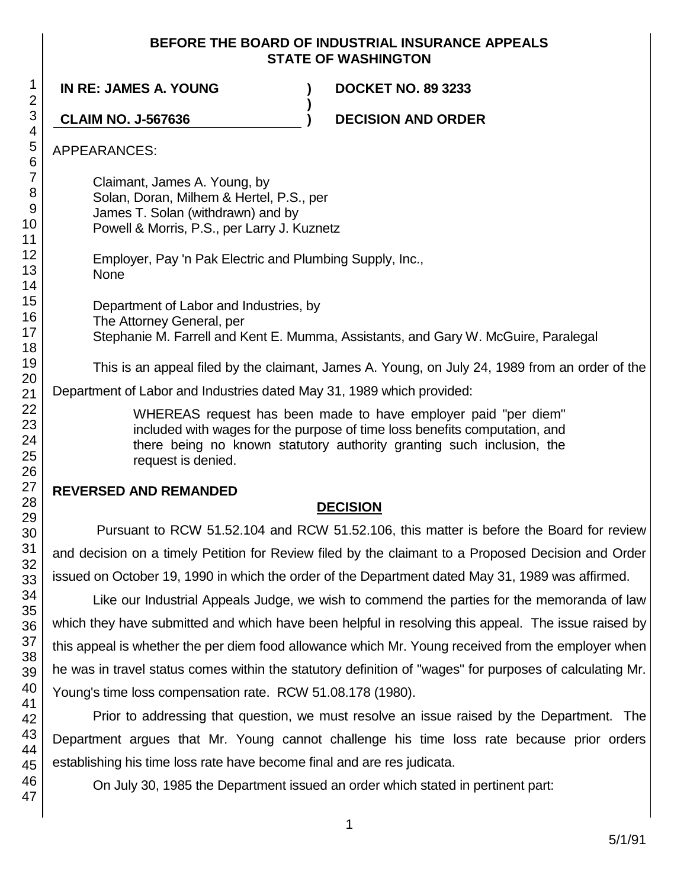#### **BEFORE THE BOARD OF INDUSTRIAL INSURANCE APPEALS STATE OF WASHINGTON**

**)**

**IN RE: JAMES A. YOUNG ) DOCKET NO. 89 3233**

**CLAIM NO. J-567636 ) DECISION AND ORDER**

APPEARANCES:

Claimant, James A. Young, by Solan, Doran, Milhem & Hertel, P.S., per James T. Solan (withdrawn) and by Powell & Morris, P.S., per Larry J. Kuznetz

Employer, Pay 'n Pak Electric and Plumbing Supply, Inc., None

Department of Labor and Industries, by The Attorney General, per Stephanie M. Farrell and Kent E. Mumma, Assistants, and Gary W. McGuire, Paralegal

This is an appeal filed by the claimant, James A. Young, on July 24, 1989 from an order of the Department of Labor and Industries dated May 31, 1989 which provided:

> WHEREAS request has been made to have employer paid "per diem" included with wages for the purpose of time loss benefits computation, and there being no known statutory authority granting such inclusion, the request is denied.

## **REVERSED AND REMANDED**

# **DECISION**

Pursuant to RCW 51.52.104 and RCW 51.52.106, this matter is before the Board for review and decision on a timely Petition for Review filed by the claimant to a Proposed Decision and Order issued on October 19, 1990 in which the order of the Department dated May 31, 1989 was affirmed.

Like our Industrial Appeals Judge, we wish to commend the parties for the memoranda of law which they have submitted and which have been helpful in resolving this appeal. The issue raised by this appeal is whether the per diem food allowance which Mr. Young received from the employer when he was in travel status comes within the statutory definition of "wages" for purposes of calculating Mr. Young's time loss compensation rate. RCW 51.08.178 (1980).

Prior to addressing that question, we must resolve an issue raised by the Department. The Department argues that Mr. Young cannot challenge his time loss rate because prior orders establishing his time loss rate have become final and are res judicata.

On July 30, 1985 the Department issued an order which stated in pertinent part: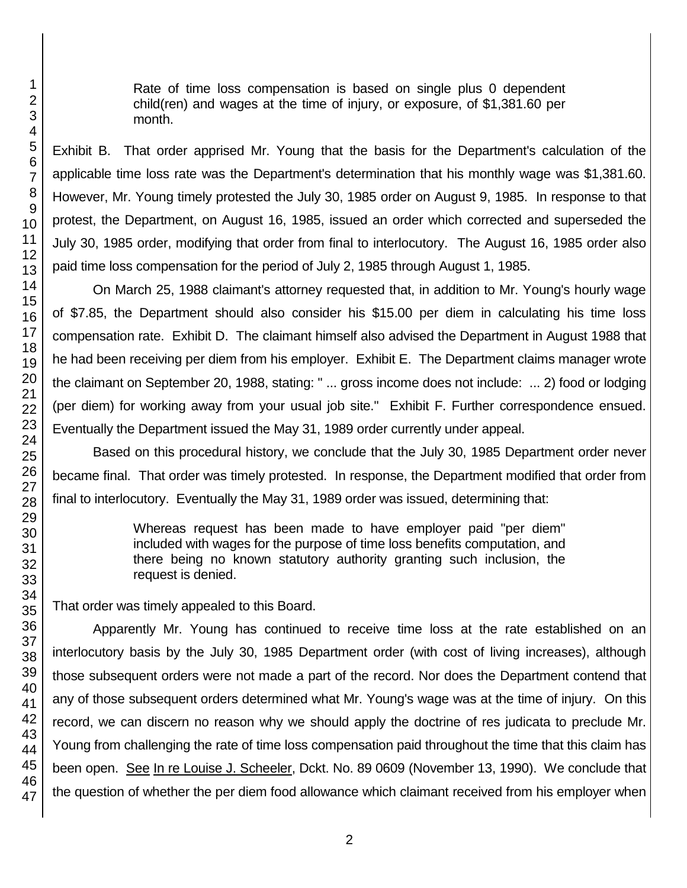Rate of time loss compensation is based on single plus 0 dependent child(ren) and wages at the time of injury, or exposure, of \$1,381.60 per month.

Exhibit B. That order apprised Mr. Young that the basis for the Department's calculation of the applicable time loss rate was the Department's determination that his monthly wage was \$1,381.60. However, Mr. Young timely protested the July 30, 1985 order on August 9, 1985. In response to that protest, the Department, on August 16, 1985, issued an order which corrected and superseded the July 30, 1985 order, modifying that order from final to interlocutory. The August 16, 1985 order also paid time loss compensation for the period of July 2, 1985 through August 1, 1985.

On March 25, 1988 claimant's attorney requested that, in addition to Mr. Young's hourly wage of \$7.85, the Department should also consider his \$15.00 per diem in calculating his time loss compensation rate. Exhibit D. The claimant himself also advised the Department in August 1988 that he had been receiving per diem from his employer. Exhibit E. The Department claims manager wrote the claimant on September 20, 1988, stating: " ... gross income does not include: ... 2) food or lodging (per diem) for working away from your usual job site." Exhibit F. Further correspondence ensued. Eventually the Department issued the May 31, 1989 order currently under appeal.

Based on this procedural history, we conclude that the July 30, 1985 Department order never became final. That order was timely protested. In response, the Department modified that order from final to interlocutory. Eventually the May 31, 1989 order was issued, determining that:

> Whereas request has been made to have employer paid "per diem" included with wages for the purpose of time loss benefits computation, and there being no known statutory authority granting such inclusion, the request is denied.

That order was timely appealed to this Board.

Apparently Mr. Young has continued to receive time loss at the rate established on an interlocutory basis by the July 30, 1985 Department order (with cost of living increases), although those subsequent orders were not made a part of the record. Nor does the Department contend that any of those subsequent orders determined what Mr. Young's wage was at the time of injury. On this record, we can discern no reason why we should apply the doctrine of res judicata to preclude Mr. Young from challenging the rate of time loss compensation paid throughout the time that this claim has been open. See In re Louise J. Scheeler, Dckt. No. 89 0609 (November 13, 1990). We conclude that the question of whether the per diem food allowance which claimant received from his employer when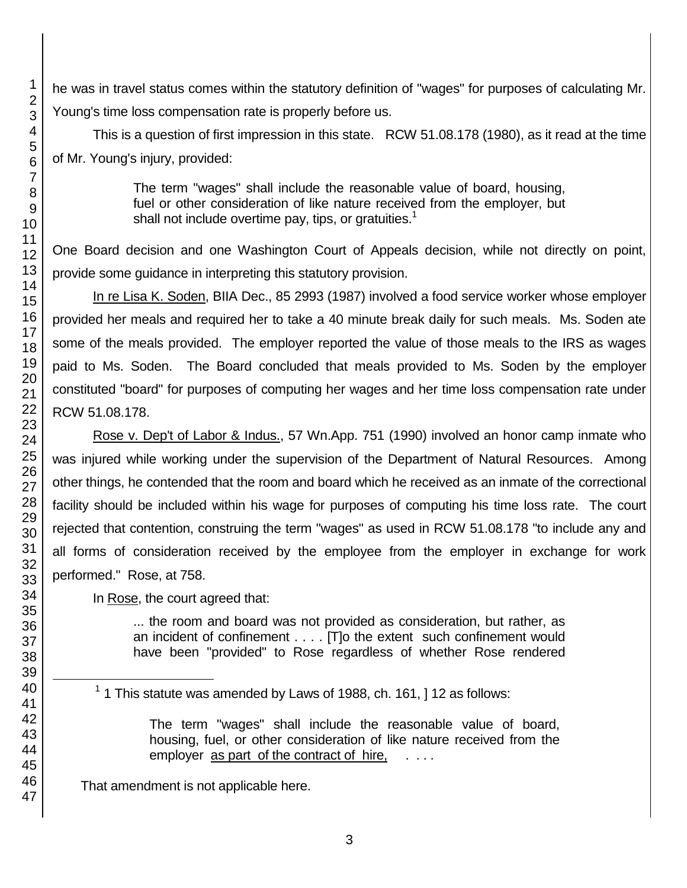he was in travel status comes within the statutory definition of "wages" for purposes of calculating Mr. Young's time loss compensation rate is properly before us.

This is a question of first impression in this state. RCW 51.08.178 (1980), as it read at the time of Mr. Young's injury, provided:

> The term "wages" shall include the reasonable value of board, housing, fuel or other consideration of like nature received from the employer, but shall not include overtime pay, tips, or gratuities.<sup>1</sup>

One Board decision and one Washington Court of Appeals decision, while not directly on point, provide some guidance in interpreting this statutory provision.

In re Lisa K. Soden, BIIA Dec., 85 2993 (1987) involved a food service worker whose employer provided her meals and required her to take a 40 minute break daily for such meals. Ms. Soden ate some of the meals provided. The employer reported the value of those meals to the IRS as wages paid to Ms. Soden. The Board concluded that meals provided to Ms. Soden by the employer constituted "board" for purposes of computing her wages and her time loss compensation rate under RCW 51.08.178.

Rose v. Dep't of Labor & Indus., 57 Wn.App. 751 (1990) involved an honor camp inmate who was injured while working under the supervision of the Department of Natural Resources. Among other things, he contended that the room and board which he received as an inmate of the correctional facility should be included within his wage for purposes of computing his time loss rate. The court rejected that contention, construing the term "wages" as used in RCW 51.08.178 "to include any and all forms of consideration received by the employee from the employer in exchange for work performed." Rose, at 758.

In Rose, the court agreed that:

... the room and board was not provided as consideration, but rather, as an incident of confinement . . . . [T]o the extent such confinement would have been "provided" to Rose regardless of whether Rose rendered

The term "wages" shall include the reasonable value of board, housing, fuel, or other consideration of like nature received from the employer as part of the contract of hire,  $\dots$ 

That amendment is not applicable here.

l

1 This statute was amended by Laws of 1988, ch. 161, ] 12 as follows: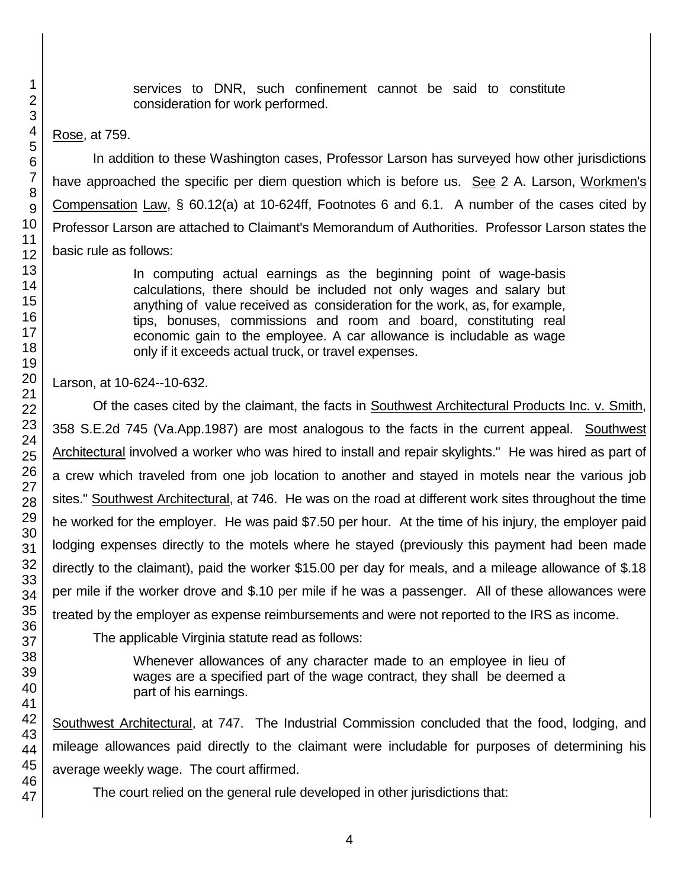services to DNR, such confinement cannot be said to constitute consideration for work performed.

Rose, at 759.

In addition to these Washington cases, Professor Larson has surveyed how other jurisdictions have approached the specific per diem question which is before us. See 2 A. Larson, Workmen's Compensation Law, § 60.12(a) at 10-624ff, Footnotes 6 and 6.1. A number of the cases cited by Professor Larson are attached to Claimant's Memorandum of Authorities. Professor Larson states the basic rule as follows:

> In computing actual earnings as the beginning point of wage-basis calculations, there should be included not only wages and salary but anything of value received as consideration for the work, as, for example, tips, bonuses, commissions and room and board, constituting real economic gain to the employee. A car allowance is includable as wage only if it exceeds actual truck, or travel expenses.

Larson, at 10-624--10-632.

Of the cases cited by the claimant, the facts in Southwest Architectural Products Inc. v. Smith, 358 S.E.2d 745 (Va.App.1987) are most analogous to the facts in the current appeal. Southwest Architectural involved a worker who was hired to install and repair skylights." He was hired as part of a crew which traveled from one job location to another and stayed in motels near the various job sites." Southwest Architectural, at 746. He was on the road at different work sites throughout the time he worked for the employer. He was paid \$7.50 per hour. At the time of his injury, the employer paid lodging expenses directly to the motels where he stayed (previously this payment had been made directly to the claimant), paid the worker \$15.00 per day for meals, and a mileage allowance of \$.18 per mile if the worker drove and \$.10 per mile if he was a passenger. All of these allowances were treated by the employer as expense reimbursements and were not reported to the IRS as income.

The applicable Virginia statute read as follows:

Whenever allowances of any character made to an employee in lieu of wages are a specified part of the wage contract, they shall be deemed a part of his earnings.

Southwest Architectural, at 747. The Industrial Commission concluded that the food, lodging, and mileage allowances paid directly to the claimant were includable for purposes of determining his average weekly wage. The court affirmed.

The court relied on the general rule developed in other jurisdictions that: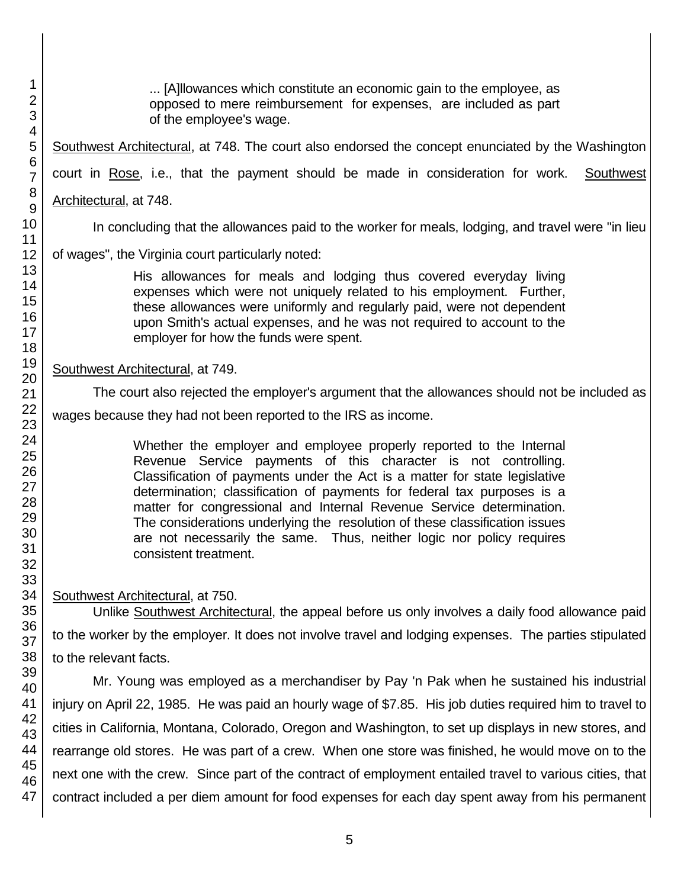... [A]llowances which constitute an economic gain to the employee, as opposed to mere reimbursement for expenses, are included as part of the employee's wage.

Southwest Architectural, at 748. The court also endorsed the concept enunciated by the Washington court in Rose, i.e., that the payment should be made in consideration for work. Southwest Architectural, at 748.

In concluding that the allowances paid to the worker for meals, lodging, and travel were "in lieu

of wages", the Virginia court particularly noted:

His allowances for meals and lodging thus covered everyday living expenses which were not uniquely related to his employment. Further, these allowances were uniformly and regularly paid, were not dependent upon Smith's actual expenses, and he was not required to account to the employer for how the funds were spent.

Southwest Architectural, at 749.

The court also rejected the employer's argument that the allowances should not be included as

wages because they had not been reported to the IRS as income.

Whether the employer and employee properly reported to the Internal Revenue Service payments of this character is not controlling. Classification of payments under the Act is a matter for state legislative determination; classification of payments for federal tax purposes is a matter for congressional and Internal Revenue Service determination. The considerations underlying the resolution of these classification issues are not necessarily the same. Thus, neither logic nor policy requires consistent treatment.

Southwest Architectural, at 750.

Unlike Southwest Architectural, the appeal before us only involves a daily food allowance paid to the worker by the employer. It does not involve travel and lodging expenses. The parties stipulated to the relevant facts.

Mr. Young was employed as a merchandiser by Pay 'n Pak when he sustained his industrial injury on April 22, 1985. He was paid an hourly wage of \$7.85. His job duties required him to travel to cities in California, Montana, Colorado, Oregon and Washington, to set up displays in new stores, and rearrange old stores. He was part of a crew. When one store was finished, he would move on to the next one with the crew. Since part of the contract of employment entailed travel to various cities, that contract included a per diem amount for food expenses for each day spent away from his permanent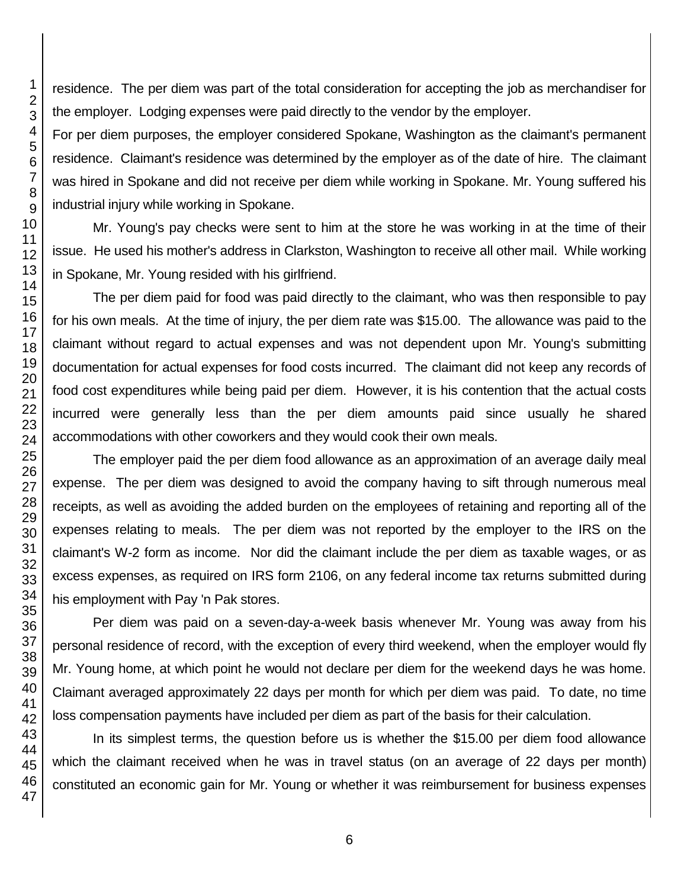residence. The per diem was part of the total consideration for accepting the job as merchandiser for the employer. Lodging expenses were paid directly to the vendor by the employer.

For per diem purposes, the employer considered Spokane, Washington as the claimant's permanent residence. Claimant's residence was determined by the employer as of the date of hire. The claimant was hired in Spokane and did not receive per diem while working in Spokane. Mr. Young suffered his industrial injury while working in Spokane.

Mr. Young's pay checks were sent to him at the store he was working in at the time of their issue. He used his mother's address in Clarkston, Washington to receive all other mail. While working in Spokane, Mr. Young resided with his girlfriend.

The per diem paid for food was paid directly to the claimant, who was then responsible to pay for his own meals. At the time of injury, the per diem rate was \$15.00. The allowance was paid to the claimant without regard to actual expenses and was not dependent upon Mr. Young's submitting documentation for actual expenses for food costs incurred. The claimant did not keep any records of food cost expenditures while being paid per diem. However, it is his contention that the actual costs incurred were generally less than the per diem amounts paid since usually he shared accommodations with other coworkers and they would cook their own meals.

The employer paid the per diem food allowance as an approximation of an average daily meal expense. The per diem was designed to avoid the company having to sift through numerous meal receipts, as well as avoiding the added burden on the employees of retaining and reporting all of the expenses relating to meals. The per diem was not reported by the employer to the IRS on the claimant's W-2 form as income. Nor did the claimant include the per diem as taxable wages, or as excess expenses, as required on IRS form 2106, on any federal income tax returns submitted during his employment with Pay 'n Pak stores.

Per diem was paid on a seven-day-a-week basis whenever Mr. Young was away from his personal residence of record, with the exception of every third weekend, when the employer would fly Mr. Young home, at which point he would not declare per diem for the weekend days he was home. Claimant averaged approximately 22 days per month for which per diem was paid. To date, no time loss compensation payments have included per diem as part of the basis for their calculation.

In its simplest terms, the question before us is whether the \$15.00 per diem food allowance which the claimant received when he was in travel status (on an average of 22 days per month) constituted an economic gain for Mr. Young or whether it was reimbursement for business expenses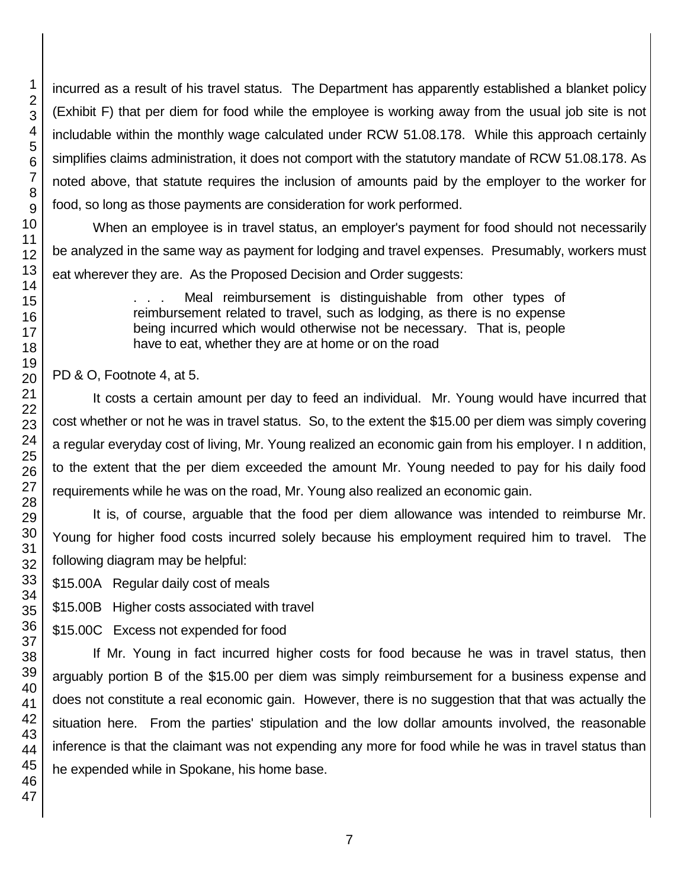incurred as a result of his travel status. The Department has apparently established a blanket policy (Exhibit F) that per diem for food while the employee is working away from the usual job site is not includable within the monthly wage calculated under RCW 51.08.178. While this approach certainly simplifies claims administration, it does not comport with the statutory mandate of RCW 51.08.178. As noted above, that statute requires the inclusion of amounts paid by the employer to the worker for food, so long as those payments are consideration for work performed.

When an employee is in travel status, an employer's payment for food should not necessarily be analyzed in the same way as payment for lodging and travel expenses. Presumably, workers must eat wherever they are. As the Proposed Decision and Order suggests:

> . . . Meal reimbursement is distinguishable from other types of reimbursement related to travel, such as lodging, as there is no expense being incurred which would otherwise not be necessary. That is, people have to eat, whether they are at home or on the road

PD & O, Footnote 4, at 5.

It costs a certain amount per day to feed an individual. Mr. Young would have incurred that cost whether or not he was in travel status. So, to the extent the \$15.00 per diem was simply covering a regular everyday cost of living, Mr. Young realized an economic gain from his employer. I n addition, to the extent that the per diem exceeded the amount Mr. Young needed to pay for his daily food requirements while he was on the road, Mr. Young also realized an economic gain.

It is, of course, arguable that the food per diem allowance was intended to reimburse Mr. Young for higher food costs incurred solely because his employment required him to travel. The following diagram may be helpful:

\$15.00A Regular daily cost of meals

\$15.00B Higher costs associated with travel

\$15.00C Excess not expended for food

If Mr. Young in fact incurred higher costs for food because he was in travel status, then arguably portion B of the \$15.00 per diem was simply reimbursement for a business expense and does not constitute a real economic gain. However, there is no suggestion that that was actually the situation here. From the parties' stipulation and the low dollar amounts involved, the reasonable inference is that the claimant was not expending any more for food while he was in travel status than he expended while in Spokane, his home base.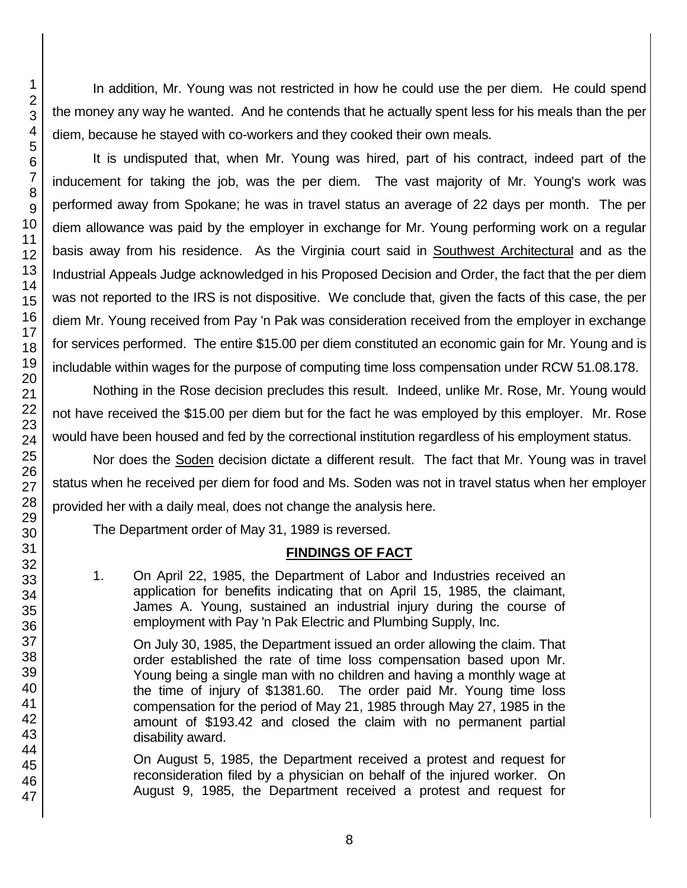In addition, Mr. Young was not restricted in how he could use the per diem. He could spend the money any way he wanted. And he contends that he actually spent less for his meals than the per diem, because he stayed with co-workers and they cooked their own meals.

It is undisputed that, when Mr. Young was hired, part of his contract, indeed part of the inducement for taking the job, was the per diem. The vast majority of Mr. Young's work was performed away from Spokane; he was in travel status an average of 22 days per month. The per diem allowance was paid by the employer in exchange for Mr. Young performing work on a regular basis away from his residence. As the Virginia court said in Southwest Architectural and as the Industrial Appeals Judge acknowledged in his Proposed Decision and Order, the fact that the per diem was not reported to the IRS is not dispositive. We conclude that, given the facts of this case, the per diem Mr. Young received from Pay 'n Pak was consideration received from the employer in exchange for services performed. The entire \$15.00 per diem constituted an economic gain for Mr. Young and is includable within wages for the purpose of computing time loss compensation under RCW 51.08.178.

Nothing in the Rose decision precludes this result. Indeed, unlike Mr. Rose, Mr. Young would not have received the \$15.00 per diem but for the fact he was employed by this employer. Mr. Rose would have been housed and fed by the correctional institution regardless of his employment status.

Nor does the Soden decision dictate a different result. The fact that Mr. Young was in travel status when he received per diem for food and Ms. Soden was not in travel status when her employer provided her with a daily meal, does not change the analysis here.

The Department order of May 31, 1989 is reversed.

## **FINDINGS OF FACT**

1. On April 22, 1985, the Department of Labor and Industries received an application for benefits indicating that on April 15, 1985, the claimant, James A. Young, sustained an industrial injury during the course of employment with Pay 'n Pak Electric and Plumbing Supply, Inc.

On July 30, 1985, the Department issued an order allowing the claim. That order established the rate of time loss compensation based upon Mr. Young being a single man with no children and having a monthly wage at the time of injury of \$1381.60. The order paid Mr. Young time loss compensation for the period of May 21, 1985 through May 27, 1985 in the amount of \$193.42 and closed the claim with no permanent partial disability award.

On August 5, 1985, the Department received a protest and request for reconsideration filed by a physician on behalf of the injured worker. On August 9, 1985, the Department received a protest and request for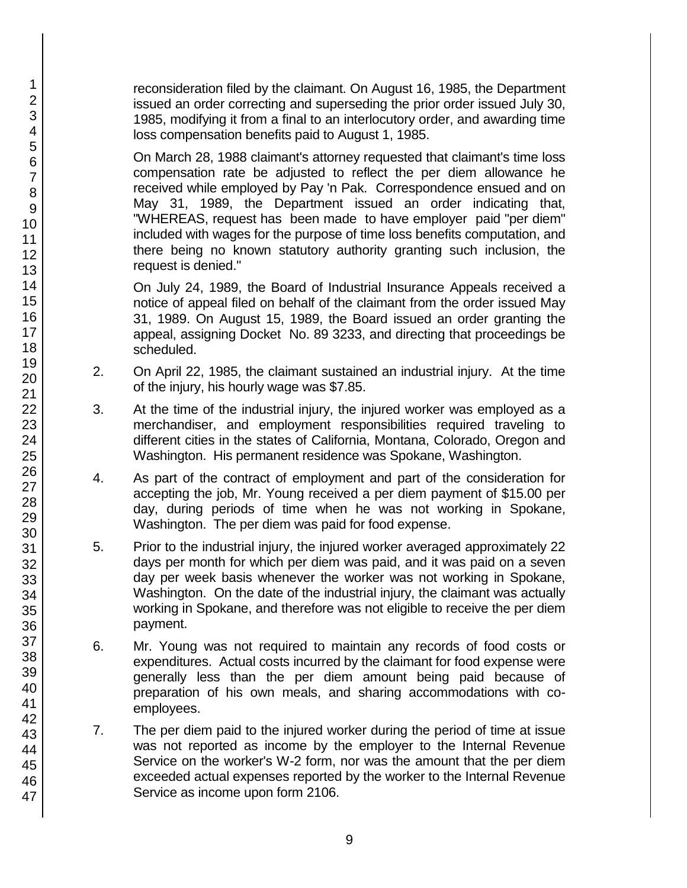reconsideration filed by the claimant. On August 16, 1985, the Department issued an order correcting and superseding the prior order issued July 30, 1985, modifying it from a final to an interlocutory order, and awarding time loss compensation benefits paid to August 1, 1985.

On March 28, 1988 claimant's attorney requested that claimant's time loss compensation rate be adjusted to reflect the per diem allowance he received while employed by Pay 'n Pak. Correspondence ensued and on May 31, 1989, the Department issued an order indicating that, "WHEREAS, request has been made to have employer paid "per diem" included with wages for the purpose of time loss benefits computation, and there being no known statutory authority granting such inclusion, the request is denied."

On July 24, 1989, the Board of Industrial Insurance Appeals received a notice of appeal filed on behalf of the claimant from the order issued May 31, 1989. On August 15, 1989, the Board issued an order granting the appeal, assigning Docket No. 89 3233, and directing that proceedings be scheduled.

- 2. On April 22, 1985, the claimant sustained an industrial injury. At the time of the injury, his hourly wage was \$7.85.
- 3. At the time of the industrial injury, the injured worker was employed as a merchandiser, and employment responsibilities required traveling to different cities in the states of California, Montana, Colorado, Oregon and Washington. His permanent residence was Spokane, Washington.
- 4. As part of the contract of employment and part of the consideration for accepting the job, Mr. Young received a per diem payment of \$15.00 per day, during periods of time when he was not working in Spokane, Washington. The per diem was paid for food expense.
- 5. Prior to the industrial injury, the injured worker averaged approximately 22 days per month for which per diem was paid, and it was paid on a seven day per week basis whenever the worker was not working in Spokane, Washington. On the date of the industrial injury, the claimant was actually working in Spokane, and therefore was not eligible to receive the per diem payment.
- 6. Mr. Young was not required to maintain any records of food costs or expenditures. Actual costs incurred by the claimant for food expense were generally less than the per diem amount being paid because of preparation of his own meals, and sharing accommodations with coemployees.
- 7. The per diem paid to the injured worker during the period of time at issue was not reported as income by the employer to the Internal Revenue Service on the worker's W-2 form, nor was the amount that the per diem exceeded actual expenses reported by the worker to the Internal Revenue Service as income upon form 2106.

1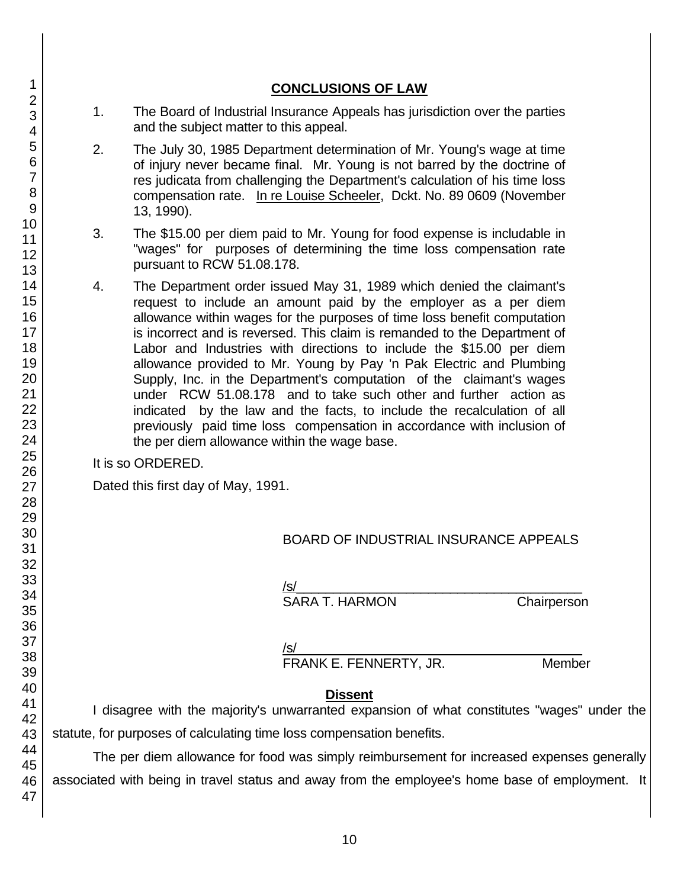|                                                                                                              | 1.<br>The Board of Industrial Insurance Appeals has jurisdiction over the parties<br>and the subject matter to this appeal.<br>2.<br>The July 30, 1985 Department determination of Mr. Young's wage at time<br>of injury never became final. Mr. Young is not barred by the doctrine of<br>res judicata from challenging the Department's calculation of his time loss<br>compensation rate. In re Louise Scheeler, Dckt. No. 89 0609 (November<br>13, 1990). |                                                                                                                                                                                                                                                                                                                                                                                                                                                                                                                                                                                                                                                                                                                                                                                                  |                                              |             |  |
|--------------------------------------------------------------------------------------------------------------|---------------------------------------------------------------------------------------------------------------------------------------------------------------------------------------------------------------------------------------------------------------------------------------------------------------------------------------------------------------------------------------------------------------------------------------------------------------|--------------------------------------------------------------------------------------------------------------------------------------------------------------------------------------------------------------------------------------------------------------------------------------------------------------------------------------------------------------------------------------------------------------------------------------------------------------------------------------------------------------------------------------------------------------------------------------------------------------------------------------------------------------------------------------------------------------------------------------------------------------------------------------------------|----------------------------------------------|-------------|--|
|                                                                                                              |                                                                                                                                                                                                                                                                                                                                                                                                                                                               |                                                                                                                                                                                                                                                                                                                                                                                                                                                                                                                                                                                                                                                                                                                                                                                                  |                                              |             |  |
|                                                                                                              | 3.                                                                                                                                                                                                                                                                                                                                                                                                                                                            | The \$15.00 per diem paid to Mr. Young for food expense is includable in<br>"wages" for purposes of determining the time loss compensation rate<br>pursuant to RCW 51.08.178.                                                                                                                                                                                                                                                                                                                                                                                                                                                                                                                                                                                                                    |                                              |             |  |
|                                                                                                              | 4.                                                                                                                                                                                                                                                                                                                                                                                                                                                            | The Department order issued May 31, 1989 which denied the claimant's<br>request to include an amount paid by the employer as a per diem<br>allowance within wages for the purposes of time loss benefit computation<br>is incorrect and is reversed. This claim is remanded to the Department of<br>Labor and Industries with directions to include the \$15.00 per diem<br>allowance provided to Mr. Young by Pay 'n Pak Electric and Plumbing<br>Supply, Inc. in the Department's computation of the claimant's wages<br>under RCW 51.08.178 and to take such other and further action as<br>indicated by the law and the facts, to include the recalculation of all<br>previously paid time loss compensation in accordance with inclusion of<br>the per diem allowance within the wage base. |                                              |             |  |
|                                                                                                              | It is so ORDERED.                                                                                                                                                                                                                                                                                                                                                                                                                                             |                                                                                                                                                                                                                                                                                                                                                                                                                                                                                                                                                                                                                                                                                                                                                                                                  |                                              |             |  |
|                                                                                                              | Dated this first day of May, 1991.                                                                                                                                                                                                                                                                                                                                                                                                                            |                                                                                                                                                                                                                                                                                                                                                                                                                                                                                                                                                                                                                                                                                                                                                                                                  |                                              |             |  |
|                                                                                                              |                                                                                                                                                                                                                                                                                                                                                                                                                                                               |                                                                                                                                                                                                                                                                                                                                                                                                                                                                                                                                                                                                                                                                                                                                                                                                  |                                              |             |  |
|                                                                                                              |                                                                                                                                                                                                                                                                                                                                                                                                                                                               |                                                                                                                                                                                                                                                                                                                                                                                                                                                                                                                                                                                                                                                                                                                                                                                                  | <b>BOARD OF INDUSTRIAL INSURANCE APPEALS</b> |             |  |
|                                                                                                              |                                                                                                                                                                                                                                                                                                                                                                                                                                                               |                                                                                                                                                                                                                                                                                                                                                                                                                                                                                                                                                                                                                                                                                                                                                                                                  | /s/                                          |             |  |
|                                                                                                              |                                                                                                                                                                                                                                                                                                                                                                                                                                                               |                                                                                                                                                                                                                                                                                                                                                                                                                                                                                                                                                                                                                                                                                                                                                                                                  | <b>SARA T. HARMON</b>                        | Chairperson |  |
|                                                                                                              |                                                                                                                                                                                                                                                                                                                                                                                                                                                               |                                                                                                                                                                                                                                                                                                                                                                                                                                                                                                                                                                                                                                                                                                                                                                                                  |                                              |             |  |
|                                                                                                              |                                                                                                                                                                                                                                                                                                                                                                                                                                                               |                                                                                                                                                                                                                                                                                                                                                                                                                                                                                                                                                                                                                                                                                                                                                                                                  | /s/                                          |             |  |
|                                                                                                              |                                                                                                                                                                                                                                                                                                                                                                                                                                                               |                                                                                                                                                                                                                                                                                                                                                                                                                                                                                                                                                                                                                                                                                                                                                                                                  | FRANK E. FENNERTY, JR.                       | Member      |  |
|                                                                                                              |                                                                                                                                                                                                                                                                                                                                                                                                                                                               |                                                                                                                                                                                                                                                                                                                                                                                                                                                                                                                                                                                                                                                                                                                                                                                                  |                                              |             |  |
| <b>Dissent</b><br>I disagree with the majority's unwarranted expansion of what constitutes "wages" under the |                                                                                                                                                                                                                                                                                                                                                                                                                                                               |                                                                                                                                                                                                                                                                                                                                                                                                                                                                                                                                                                                                                                                                                                                                                                                                  |                                              |             |  |
| statute, for purposes of calculating time loss compensation benefits.                                        |                                                                                                                                                                                                                                                                                                                                                                                                                                                               |                                                                                                                                                                                                                                                                                                                                                                                                                                                                                                                                                                                                                                                                                                                                                                                                  |                                              |             |  |
| The per diem allowance for food was simply reimbursement for increased expenses generally                    |                                                                                                                                                                                                                                                                                                                                                                                                                                                               |                                                                                                                                                                                                                                                                                                                                                                                                                                                                                                                                                                                                                                                                                                                                                                                                  |                                              |             |  |
|                                                                                                              |                                                                                                                                                                                                                                                                                                                                                                                                                                                               |                                                                                                                                                                                                                                                                                                                                                                                                                                                                                                                                                                                                                                                                                                                                                                                                  |                                              |             |  |
| associated with being in travel status and away from the employee's home base of employment. It              |                                                                                                                                                                                                                                                                                                                                                                                                                                                               |                                                                                                                                                                                                                                                                                                                                                                                                                                                                                                                                                                                                                                                                                                                                                                                                  |                                              |             |  |
|                                                                                                              |                                                                                                                                                                                                                                                                                                                                                                                                                                                               |                                                                                                                                                                                                                                                                                                                                                                                                                                                                                                                                                                                                                                                                                                                                                                                                  |                                              |             |  |

**CONCLUSIONS OF LAW**

#### 2 3 4 5 6 7 8 9 10 11 12 13 14 15 16 17 18 19 20 21 22 23 24 25 26 27 28 29 30 31 32 33 34 35 36 37 38 39 40 41 42 43 44 45 46

47

1